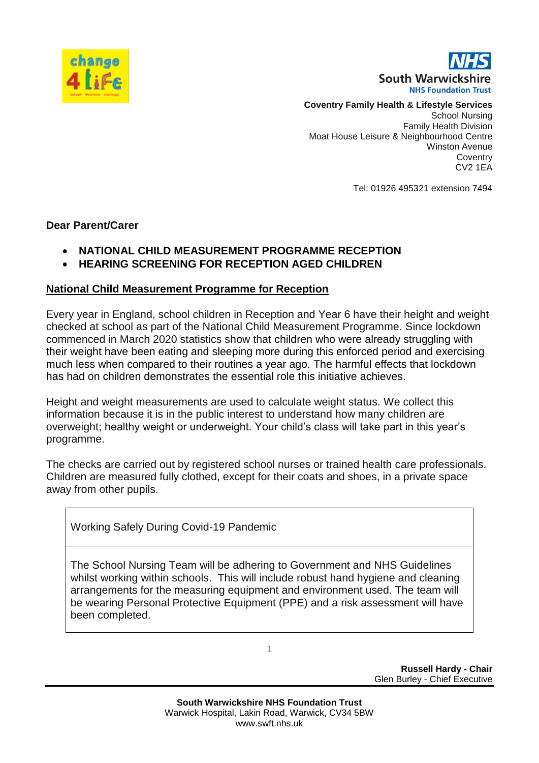

South Warwickshire **NHS Foundation Trust** 

#### **Coventry Family Health & Lifestyle Services**

School Nursing Family Health Division Moat House Leisure & Neighbourhood Centre Winston Avenue **Coventry** CV2 1EA

Tel: 01926 495321 extension 7494

### **Dear Parent/Carer**

- **NATIONAL CHILD MEASUREMENT PROGRAMME RECEPTION**
- **HEARING SCREENING FOR RECEPTION AGED CHILDREN**

#### **National Child Measurement Programme for Reception**

Every year in England, school children in Reception and Year 6 have their height and weight checked at school as part of the National Child Measurement Programme. Since lockdown commenced in March 2020 statistics show that children who were already struggling with their weight have been eating and sleeping more during this enforced period and exercising much less when compared to their routines a year ago. The harmful effects that lockdown has had on children demonstrates the essential role this initiative achieves.

Height and weight measurements are used to calculate weight status. We collect this information because it is in the public interest to understand how many children are overweight; healthy weight or underweight. Your child's class will take part in this year's programme.

The checks are carried out by registered school nurses or trained health care professionals. Children are measured fully clothed, except for their coats and shoes, in a private space away from other pupils.

Working Safely During Covid-19 Pandemic

The School Nursing Team will be adhering to Government and NHS Guidelines whilst working within schools. This will include robust hand hygiene and cleaning arrangements for the measuring equipment and environment used. The team will be wearing Personal Protective Equipment (PPE) and a risk assessment will have been completed.

1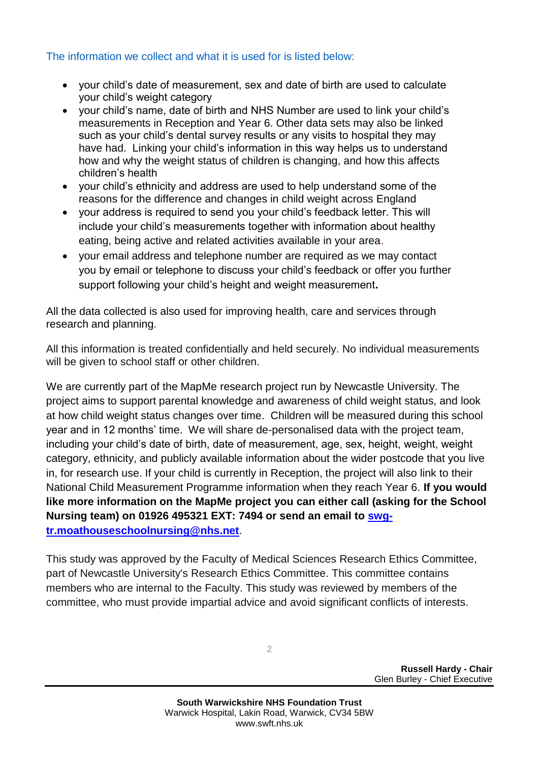# The information we collect and what it is used for is listed below:

- your child's date of measurement, sex and date of birth are used to calculate your child's weight category
- your child's name, date of birth and NHS Number are used to link your child's measurements in Reception and Year 6. Other data sets may also be linked such as your child's dental survey results or any visits to hospital they may have had. Linking your child's information in this way helps us to understand how and why the weight status of children is changing, and how this affects children's health
- your child's ethnicity and address are used to help understand some of the reasons for the difference and changes in child weight across England
- your address is required to send you your child's feedback letter. This will include your child's measurements together with information about healthy eating, being active and related activities available in your area.
- vour email address and telephone number are required as we may contact you by email or telephone to discuss your child's feedback or offer you further support following your child's height and weight measurement**.**

All the data collected is also used for improving health, care and services through research and planning.

All this information is treated confidentially and held securely. No individual measurements will be given to school staff or other children.

We are currently part of the MapMe research project run by Newcastle University. The project aims to support parental knowledge and awareness of child weight status, and look at how child weight status changes over time. Children will be measured during this school year and in 12 months' time. We will share de-personalised data with the project team, including your child's date of birth, date of measurement, age, sex, height, weight, weight category, ethnicity, and publicly available information about the wider postcode that you live in, for research use. If your child is currently in Reception, the project will also link to their National Child Measurement Programme information when they reach Year 6. **If you would like more information on the MapMe project you can either call (asking for the School Nursing team) on 01926 495321 EXT: 7494 or send an email to [swg](mailto:swg-tr.moathouseschoolnursing@nhs.net)[tr.moathouseschoolnursing@nhs.net](mailto:swg-tr.moathouseschoolnursing@nhs.net)**.

This study was approved by the Faculty of Medical Sciences Research Ethics Committee, part of Newcastle University's Research Ethics Committee. This committee contains members who are internal to the Faculty. This study was reviewed by members of the committee, who must provide impartial advice and avoid significant conflicts of interests.

2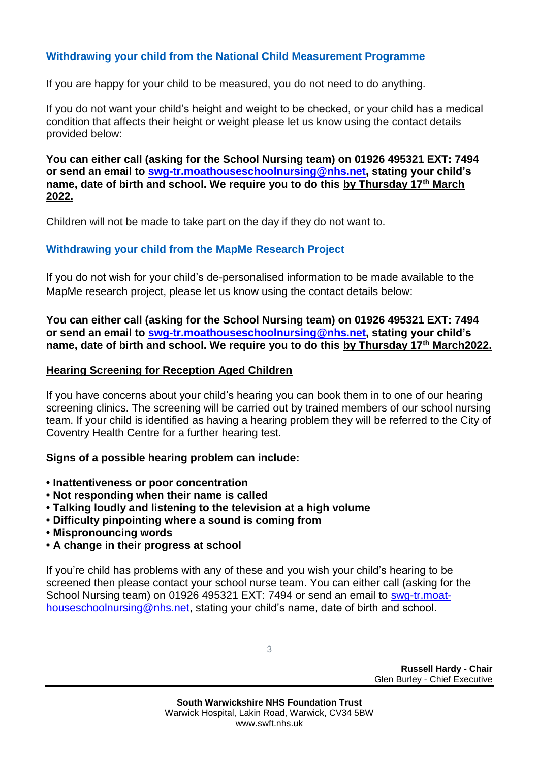# **Withdrawing your child from the National Child Measurement Programme**

If you are happy for your child to be measured, you do not need to do anything.

If you do not want your child's height and weight to be checked, or your child has a medical condition that affects their height or weight please let us know using the contact details provided below:

**You can either call (asking for the School Nursing team) on 01926 495321 EXT: 7494 or send an email to [swg-tr.moathouseschoolnursing@nhs.net,](mailto:swg-tr.moathouseschoolnursing@nhs.net) stating your child's name, date of birth and school. We require you to do this by Thursday 17th March 2022.**

Children will not be made to take part on the day if they do not want to.

### **Withdrawing your child from the MapMe Research Project**

If you do not wish for your child's de-personalised information to be made available to the MapMe research project, please let us know using the contact details below:

**You can either call (asking for the School Nursing team) on 01926 495321 EXT: 7494 or send an email to [swg-tr.moathouseschoolnursing@nhs.net,](mailto:swg-tr.moathouseschoolnursing@nhs.net) stating your child's name, date of birth and school. We require you to do this by Thursday 17th March2022.**

### **Hearing Screening for Reception Aged Children**

If you have concerns about your child's hearing you can book them in to one of our hearing screening clinics. The screening will be carried out by trained members of our school nursing team. If your child is identified as having a hearing problem they will be referred to the City of Coventry Health Centre for a further hearing test.

### **Signs of a possible hearing problem can include:**

- **• Inattentiveness or poor concentration**
- **• Not responding when their name is called**
- **Talking loudly and listening to the television at a high volume**
- **Difficulty pinpointing where a sound is coming from**
- **Mispronouncing words**
- **• A change in their progress at school**

If you're child has problems with any of these and you wish your child's hearing to be screened then please contact your school nurse team. You can either call (asking for the School Nursing team) on 01926 495321 EXT: 7494 or send an email to [swg-tr.moat](mailto:swg-tr.moathouseschoolnursing@nhs.net)[houseschoolnursing@nhs.net,](mailto:swg-tr.moathouseschoolnursing@nhs.net) stating your child's name, date of birth and school.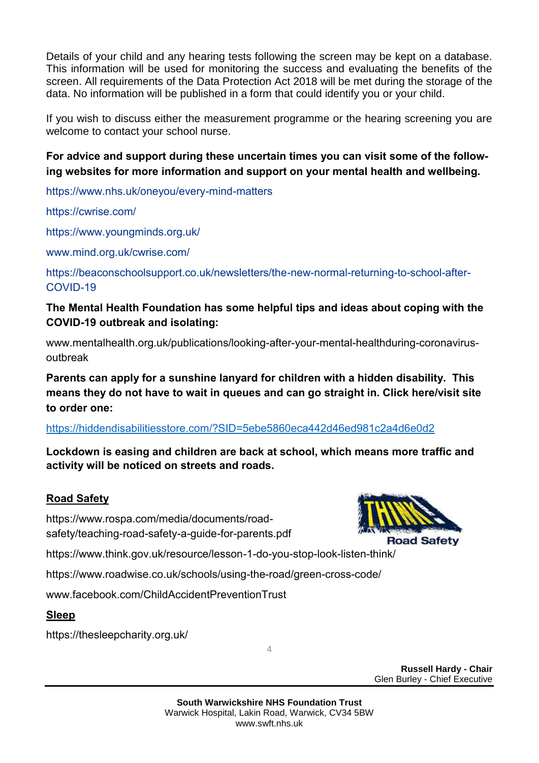Details of your child and any hearing tests following the screen may be kept on a database. This information will be used for monitoring the success and evaluating the benefits of the screen. All requirements of the Data Protection Act 2018 will be met during the storage of the data. No information will be published in a form that could identify you or your child.

If you wish to discuss either the measurement programme or the hearing screening you are welcome to contact your school nurse.

**For advice and support during these uncertain times you can visit some of the following websites for more information and support on your mental health and wellbeing.**

<https://www.nhs.uk/oneyou/every-mind-matters>

<https://cwrise.com/>

<https://www.youngminds.org.uk/>

[www.mind.org.uk/cwrise.com/](http://www.mind.org.uk/cwrise.com/)

[https://beaconschoolsupport.co.uk/newsletters/the-new-normal-returning-to-school-after-](https://beaconschoolsupport.co.uk/newsletters/the-new-normal-returning-to-school-after-COVID-19)[COVID-19](https://beaconschoolsupport.co.uk/newsletters/the-new-normal-returning-to-school-after-COVID-19)

# **The Mental Health Foundation has some helpful tips and ideas about coping with the COVID-19 outbreak and isolating:**

www.mentalhealth.org.uk/publications/looking-after-your-mental-healthduring-coronavirusoutbreak

**Parents can apply for a sunshine lanyard for children with a hidden disability. This means they do not have to wait in queues and can go straight in. Click here/visit site to order one:**

https://hiddendisabilitiesstore.com/?SID=5ebe5860eca442d46ed981c2a4d6e0d2

**Lockdown is easing and children are back at school, which means more traffic and activity will be noticed on streets and roads.** 

# **Road Safety**

https://www.rospa.com/media/documents/roadsafety/teaching-road-safety-a-guide-for-parents.pdf

https://www.think.gov.uk/resource/lesson-1-do-you-stop-look-listen-think/

https://www.roadwise.co.uk/schools/using-the-road/green-cross-code/

[www.facebook.com/ChildAccidentPreventionTrust](http://www.facebook.com/ChildAccidentPreventionTrust)

# **Sleep**

https://thesleepcharity.org.uk/



**Road Safety** 

**Russell Hardy - Chair** Glen Burley - Chief Executive

4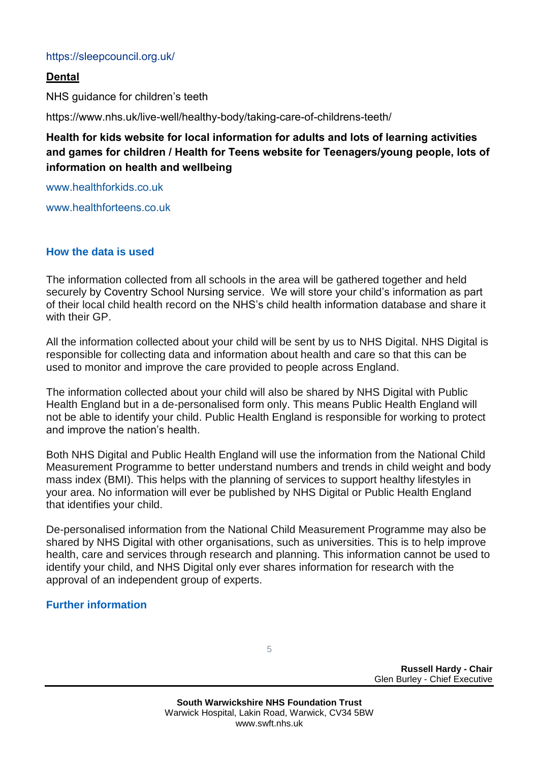### <https://sleepcouncil.org.uk/>

### **Dental**

NHS guidance for children's teeth

https://www.nhs.uk/live-well/healthy-body/taking-care-of-childrens-teeth/

**Health for kids website for local information for adults and lots of learning activities and games for children / Health for Teens website for Teenagers/young people, lots of information on health and wellbeing**

[www.healthforkids.co.uk](http://www.healthforkids.co.uk/)

[www.healthforteens.co.uk](http://www.healthforteens.co.uk/)

### **How the data is used**

The information collected from all schools in the area will be gathered together and held securely by Coventry School Nursing service. We will store your child's information as part of their local child health record on the NHS's child health information database and share it with their GP

All the information collected about your child will be sent by us to NHS Digital. NHS Digital is responsible for collecting data and information about health and care so that this can be used to monitor and improve the care provided to people across England.

The information collected about your child will also be shared by NHS Digital with Public Health England but in a de-personalised form only. This means Public Health England will not be able to identify your child. Public Health England is responsible for working to protect and improve the nation's health.

Both NHS Digital and Public Health England will use the information from the National Child Measurement Programme to better understand numbers and trends in child weight and body mass index (BMI). This helps with the planning of services to support healthy lifestyles in your area. No information will ever be published by NHS Digital or Public Health England that identifies your child.

De-personalised information from the National Child Measurement Programme may also be shared by NHS Digital with other organisations, such as universities. This is to help improve health, care and services through research and planning. This information cannot be used to identify your child, and NHS Digital only ever shares information for research with the approval of an independent group of experts.

# **Further information**

5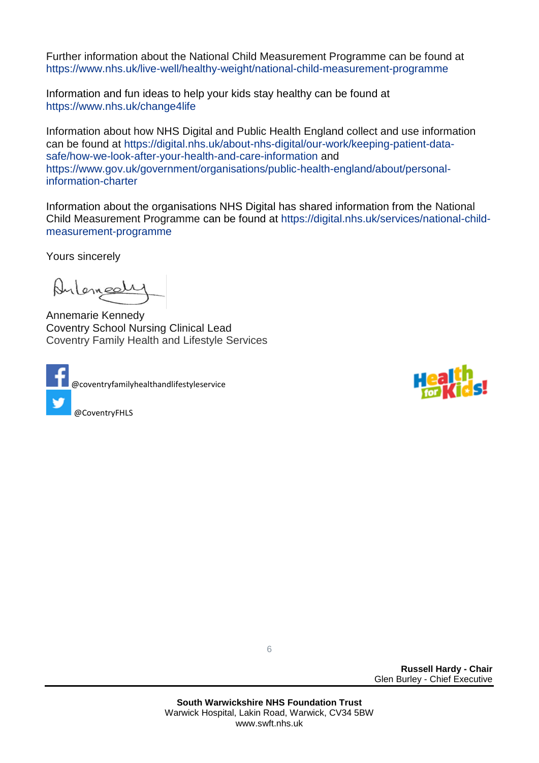Further information about the National Child Measurement Programme can be found at [https://www.nhs.uk/live-well/healthy-weight/national-child-measurement-programme](https://www.nhs.uk/live-well/healthy-weight/national-child-measurement-programme/)

Information and fun ideas to help your kids stay healthy can be found at <https://www.nhs.uk/change4life>

Information about how NHS Digital and Public Health England collect and use information can be found at [https://digital.nhs.uk/about-nhs-digital/our-work/keeping-patient-data](https://digital.nhs.uk/about-nhs-digital/our-work/keeping-patient-data-safe/how-we-look-after-your-health-and-care-information)[safe/how-we-look-after-your-health-and-care-information](https://digital.nhs.uk/about-nhs-digital/our-work/keeping-patient-data-safe/how-we-look-after-your-health-and-care-information) and [https://www.gov.uk/government/organisations/public-health-england/about/personal](https://www.gov.uk/government/organisations/public-health-england/about/personal-information-charter)[information-charter](https://www.gov.uk/government/organisations/public-health-england/about/personal-information-charter)

Information about the organisations NHS Digital has shared information from the National Child Measurement Programme can be found at [https://digital.nhs.uk/services/national-child](https://digital.nhs.uk/services/national-child-measurement-programme/)[measurement-programme](https://digital.nhs.uk/services/national-child-measurement-programme/)

Yours sincerely

Antemport

Annemarie Kennedy Coventry School Nursing Clinical Lead Coventry Family Health and Lifestyle Services